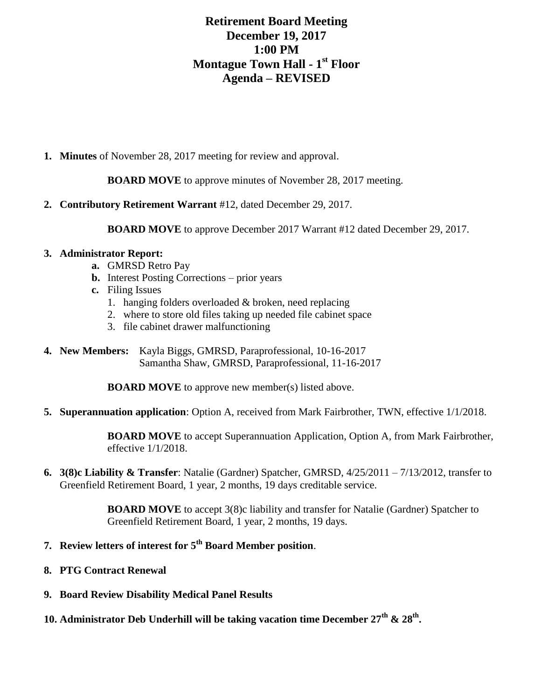## **Retirement Board Meeting December 19, 2017 1:00 PM Montague Town Hall - 1 st Floor Agenda – REVISED**

**1. Minutes** of November 28, 2017 meeting for review and approval.

**BOARD MOVE** to approve minutes of November 28, 2017 meeting.

**2. Contributory Retirement Warrant** #12, dated December 29, 2017.

**BOARD MOVE** to approve December 2017 Warrant #12 dated December 29, 2017.

## **3. Administrator Report:**

- **a.** GMRSD Retro Pay
- **b.** Interest Posting Corrections prior years
- **c.** Filing Issues
	- 1. hanging folders overloaded & broken, need replacing
	- 2. where to store old files taking up needed file cabinet space
	- 3. file cabinet drawer malfunctioning
- **4. New Members:** Kayla Biggs, GMRSD, Paraprofessional, 10-16-2017 Samantha Shaw, GMRSD, Paraprofessional, 11-16-2017

**BOARD MOVE** to approve new member(s) listed above.

**5. Superannuation application**: Option A, received from Mark Fairbrother, TWN, effective 1/1/2018.

**BOARD MOVE** to accept Superannuation Application, Option A, from Mark Fairbrother, effective 1/1/2018.

**6. 3(8)c Liability & Transfer**: Natalie (Gardner) Spatcher, GMRSD, 4/25/2011 – 7/13/2012, transfer to Greenfield Retirement Board, 1 year, 2 months, 19 days creditable service.

> **BOARD MOVE** to accept 3(8)c liability and transfer for Natalie (Gardner) Spatcher to Greenfield Retirement Board, 1 year, 2 months, 19 days.

- **7. Review letters of interest for 5th Board Member position**.
- **8. PTG Contract Renewal**
- **9. Board Review Disability Medical Panel Results**
- **10. Administrator Deb Underhill will be taking vacation time December 27th & 28th .**